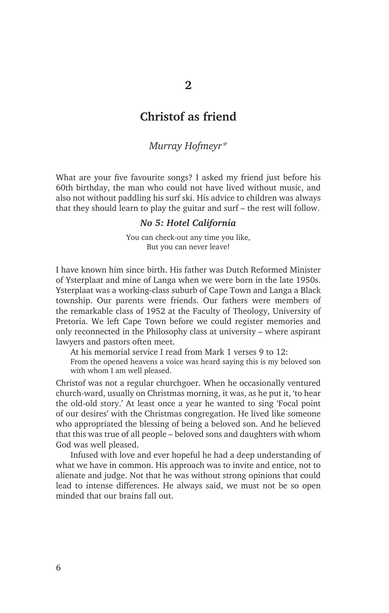# **Christof as friend**

## *Murray Hofmeyr\**

What are your five favourite songs? I asked my friend just before his 60th birthday, the man who could not have lived without music, and also not without paddling his surf ski. His advice to children was always that they should learn to play the guitar and surf – the rest will follow.

## *No 5: Hotel California*

You can check-out any time you like, But you can never leave!

I have known him since birth. His father was Dutch Reformed Minister of Ysterplaat and mine of Langa when we were born in the late 1950s. Ysterplaat was a working-class suburb of Cape Town and Langa a Black township. Our parents were friends. Our fathers were members of the remarkable class of 1952 at the Faculty of Theology, University of Pretoria. We left Cape Town before we could register memories and only reconnected in the Philosophy class at university – where aspirant lawyers and pastors often meet.

At his memorial service I read from Mark 1 verses 9 to 12:

From the opened heavens a voice was heard saying this is my beloved son with whom I am well pleased.

Christof was not a regular churchgoer. When he occasionally ventured church-ward, usually on Christmas morning, it was, as he put it, 'to hear the old-old story.' At least once a year he wanted to sing 'Focal point of our desires' with the Christmas congregation. He lived like someone who appropriated the blessing of being a beloved son. And he believed that this was true of all people – beloved sons and daughters with whom God was well pleased.

Infused with love and ever hopeful he had a deep understanding of what we have in common. His approach was to invite and entice, not to alienate and judge. Not that he was without strong opinions that could lead to intense differences. He always said, we must not be so open minded that our brains fall out.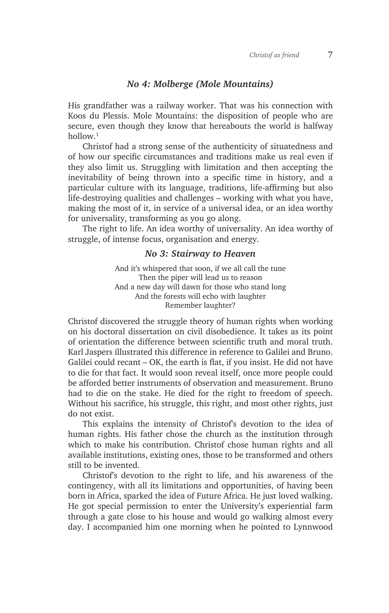## *No 4: Molberge (Mole Mountains)*

His grandfather was a railway worker. That was his connection with Koos du Plessis. Mole Mountains: the disposition of people who are secure, even though they know that hereabouts the world is halfway hollow.1

Christof had a strong sense of the authenticity of situatedness and of how our specific circumstances and traditions make us real even if they also limit us. Struggling with limitation and then accepting the inevitability of being thrown into a specific time in history, and a particular culture with its language, traditions, life-affirming but also life-destroying qualities and challenges – working with what you have, making the most of it, in service of a universal idea, or an idea worthy for universality, transforming as you go along.

The right to life. An idea worthy of universality. An idea worthy of struggle, of intense focus, organisation and energy.

### *No 3: Stairway to Heaven*

And it's whispered that soon, if we all call the tune Then the piper will lead us to reason And a new day will dawn for those who stand long And the forests will echo with laughter Remember laughter?

Christof discovered the struggle theory of human rights when working on his doctoral dissertation on civil disobedience. It takes as its point of orientation the difference between scientific truth and moral truth. Karl Jaspers illustrated this difference in reference to Galilei and Bruno. Galilei could recant – OK, the earth is flat, if you insist. He did not have to die for that fact. It would soon reveal itself, once more people could be afforded better instruments of observation and measurement. Bruno had to die on the stake. He died for the right to freedom of speech. Without his sacrifice, his struggle, this right, and most other rights, just do not exist.

This explains the intensity of Christof's devotion to the idea of human rights. His father chose the church as the institution through which to make his contribution. Christof chose human rights and all available institutions, existing ones, those to be transformed and others still to be invented.

Christof's devotion to the right to life, and his awareness of the contingency, with all its limitations and opportunities, of having been born in Africa, sparked the idea of Future Africa. He just loved walking. He got special permission to enter the University's experiential farm through a gate close to his house and would go walking almost every day. I accompanied him one morning when he pointed to Lynnwood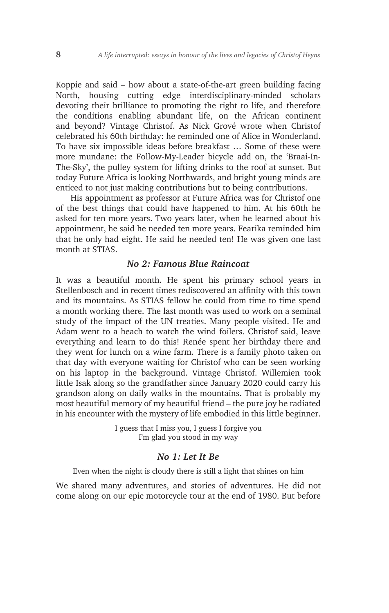Koppie and said – how about a state-of-the-art green building facing North, housing cutting edge interdisciplinary-minded scholars devoting their brilliance to promoting the right to life, and therefore the conditions enabling abundant life, on the African continent and beyond? Vintage Christof. As Nick Grové wrote when Christof celebrated his 60th birthday: he reminded one of Alice in Wonderland. To have six impossible ideas before breakfast … Some of these were more mundane: the Follow-My-Leader bicycle add on, the 'Braai-In-The-Sky', the pulley system for lifting drinks to the roof at sunset. But today Future Africa is looking Northwards, and bright young minds are enticed to not just making contributions but to being contributions.

His appointment as professor at Future Africa was for Christof one of the best things that could have happened to him. At his 60th he asked for ten more years. Two years later, when he learned about his appointment, he said he needed ten more years. Fearika reminded him that he only had eight. He said he needed ten! He was given one last month at STIAS.

## *No 2: Famous Blue Raincoat*

It was a beautiful month. He spent his primary school years in Stellenbosch and in recent times rediscovered an affinity with this town and its mountains. As STIAS fellow he could from time to time spend a month working there. The last month was used to work on a seminal study of the impact of the UN treaties. Many people visited. He and Adam went to a beach to watch the wind foilers. Christof said, leave everything and learn to do this! Renée spent her birthday there and they went for lunch on a wine farm. There is a family photo taken on that day with everyone waiting for Christof who can be seen working on his laptop in the background. Vintage Christof. Willemien took little Isak along so the grandfather since January 2020 could carry his grandson along on daily walks in the mountains. That is probably my most beautiful memory of my beautiful friend – the pure joy he radiated in his encounter with the mystery of life embodied in this little beginner.

> I guess that I miss you, I guess I forgive you I'm glad you stood in my way

### *No 1: Let It Be*

Even when the night is cloudy there is still a light that shines on him

We shared many adventures, and stories of adventures. He did not come along on our epic motorcycle tour at the end of 1980. But before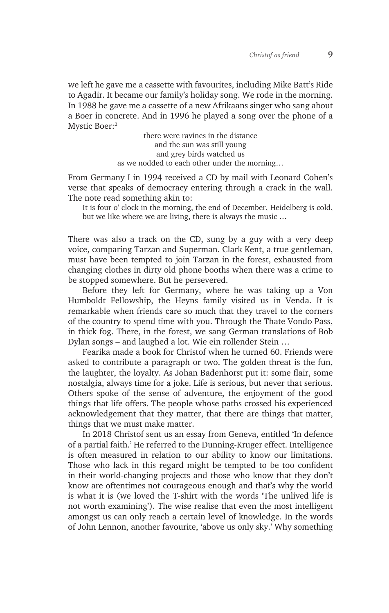we left he gave me a cassette with favourites, including Mike Batt's Ride to Agadir. It became our family's holiday song. We rode in the morning. In 1988 he gave me a cassette of a new Afrikaans singer who sang about a Boer in concrete. And in 1996 he played a song over the phone of a Mystic Boer:<sup>2</sup>

> there were ravines in the distance and the sun was still young and grey birds watched us as we nodded to each other under the morning…

From Germany I in 1994 received a CD by mail with Leonard Cohen's verse that speaks of democracy entering through a crack in the wall. The note read something akin to:

It is four o' clock in the morning, the end of December, Heidelberg is cold, but we like where we are living, there is always the music …

There was also a track on the CD, sung by a guy with a very deep voice, comparing Tarzan and Superman. Clark Kent, a true gentleman, must have been tempted to join Tarzan in the forest, exhausted from changing clothes in dirty old phone booths when there was a crime to be stopped somewhere. But he persevered.

Before they left for Germany, where he was taking up a Von Humboldt Fellowship, the Heyns family visited us in Venda. It is remarkable when friends care so much that they travel to the corners of the country to spend time with you. Through the Thate Vondo Pass, in thick fog. There, in the forest, we sang German translations of Bob Dylan songs – and laughed a lot. Wie ein rollender Stein …

Fearika made a book for Christof when he turned 60. Friends were asked to contribute a paragraph or two. The golden threat is the fun, the laughter, the loyalty. As Johan Badenhorst put it: some flair, some nostalgia, always time for a joke. Life is serious, but never that serious. Others spoke of the sense of adventure, the enjoyment of the good things that life offers. The people whose paths crossed his experienced acknowledgement that they matter, that there are things that matter, things that we must make matter.

In 2018 Christof sent us an essay from Geneva, entitled 'In defence of a partial faith.' He referred to the Dunning-Kruger effect. Intelligence is often measured in relation to our ability to know our limitations. Those who lack in this regard might be tempted to be too confident in their world-changing projects and those who know that they don't know are oftentimes not courageous enough and that's why the world is what it is (we loved the T-shirt with the words 'The unlived life is not worth examining'). The wise realise that even the most intelligent amongst us can only reach a certain level of knowledge. In the words of John Lennon, another favourite, 'above us only sky.' Why something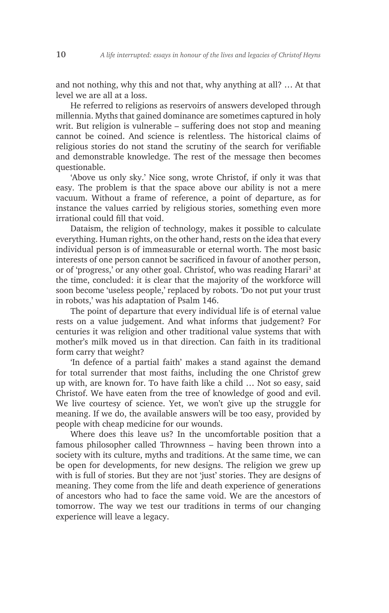and not nothing, why this and not that, why anything at all? … At that level we are all at a loss.

He referred to religions as reservoirs of answers developed through millennia. Myths that gained dominance are sometimes captured in holy writ. But religion is vulnerable – suffering does not stop and meaning cannot be coined. And science is relentless. The historical claims of religious stories do not stand the scrutiny of the search for verifiable and demonstrable knowledge. The rest of the message then becomes questionable.

'Above us only sky.' Nice song, wrote Christof, if only it was that easy. The problem is that the space above our ability is not a mere vacuum. Without a frame of reference, a point of departure, as for instance the values carried by religious stories, something even more irrational could fill that void.

Dataism, the religion of technology, makes it possible to calculate everything. Human rights, on the other hand, rests on the idea that every individual person is of immeasurable or eternal worth. The most basic interests of one person cannot be sacrificed in favour of another person, or of 'progress,' or any other goal. Christof, who was reading Harari<sup>3</sup> at the time, concluded: it is clear that the majority of the workforce will soon become 'useless people,' replaced by robots. 'Do not put your trust in robots,' was his adaptation of Psalm 146.

The point of departure that every individual life is of eternal value rests on a value judgement. And what informs that judgement? For centuries it was religion and other traditional value systems that with mother's milk moved us in that direction. Can faith in its traditional form carry that weight?

'In defence of a partial faith' makes a stand against the demand for total surrender that most faiths, including the one Christof grew up with, are known for. To have faith like a child … Not so easy, said Christof. We have eaten from the tree of knowledge of good and evil. We live courtesy of science. Yet, we won't give up the struggle for meaning. If we do, the available answers will be too easy, provided by people with cheap medicine for our wounds.

Where does this leave us? In the uncomfortable position that a famous philosopher called Thrownness – having been thrown into a society with its culture, myths and traditions. At the same time, we can be open for developments, for new designs. The religion we grew up with is full of stories. But they are not 'just' stories. They are designs of meaning. They come from the life and death experience of generations of ancestors who had to face the same void. We are the ancestors of tomorrow. The way we test our traditions in terms of our changing experience will leave a legacy.